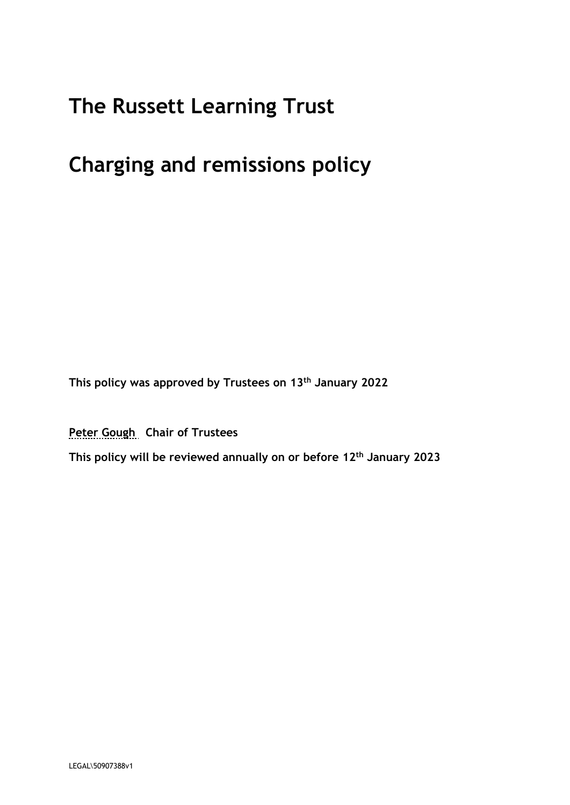# **The Russett Learning Trust**

# **Charging and remissions policy**

**This policy was approved by Trustees on 13th January 2022**

**Peter Gough Chair of Trustees**

**This policy will be reviewed annually on or before 12th January 2023**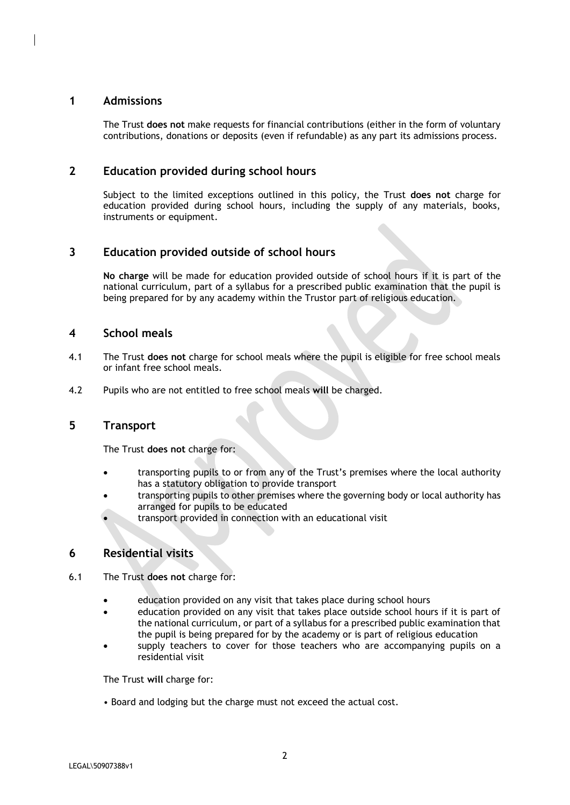#### **1 Admissions**

The Trust **does not** make requests for financial contributions (either in the form of voluntary contributions, donations or deposits (even if refundable) as any part its admissions process.

#### **2 Education provided during school hours**

Subject to the limited exceptions outlined in this policy, the Trust **does not** charge for education provided during school hours, including the supply of any materials, books, instruments or equipment.

### **3 Education provided outside of school hours**

**No charge** will be made for education provided outside of school hours if it is part of the national curriculum, part of a syllabus for a prescribed public examination that the pupil is being prepared for by any academy within the Trustor part of religious education.

#### **4 School meals**

- 4.1 The Trust **does not** charge for school meals where the pupil is eligible for free school meals or infant free school meals.
- 4.2 Pupils who are not entitled to free school meals **will** be charged.

#### **5 Transport**

The Trust **does not** charge for:

- transporting pupils to or from any of the Trust's premises where the local authority has a statutory obligation to provide transport
- transporting pupils to other premises where the governing body or local authority has arranged for pupils to be educated
- transport provided in connection with an educational visit

#### **6 Residential visits**

- 6.1 The Trust **does not** charge for:
	- education provided on any visit that takes place during school hours
	- education provided on any visit that takes place outside school hours if it is part of the national curriculum, or part of a syllabus for a prescribed public examination that the pupil is being prepared for by the academy or is part of religious education
	- supply teachers to cover for those teachers who are accompanying pupils on a residential visit

The Trust **will** charge for:

• Board and lodging but the charge must not exceed the actual cost.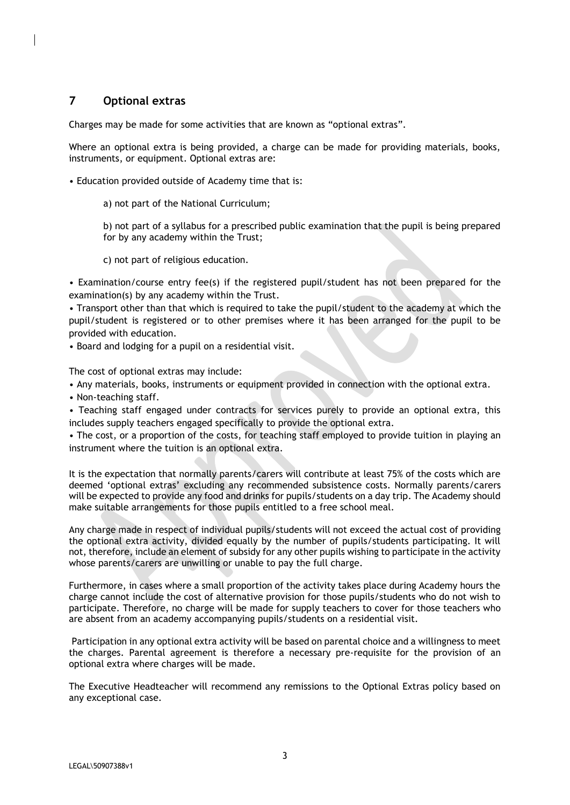## **7 Optional extras**

Charges may be made for some activities that are known as "optional extras".

Where an optional extra is being provided, a charge can be made for providing materials, books, instruments, or equipment. Optional extras are:

- Education provided outside of Academy time that is:
	- a) not part of the National Curriculum;

b) not part of a syllabus for a prescribed public examination that the pupil is being prepared for by any academy within the Trust;

c) not part of religious education.

• Examination/course entry fee(s) if the registered pupil/student has not been prepared for the examination(s) by any academy within the Trust.

• Transport other than that which is required to take the pupil/student to the academy at which the pupil/student is registered or to other premises where it has been arranged for the pupil to be provided with education.

• Board and lodging for a pupil on a residential visit.

The cost of optional extras may include:

• Any materials, books, instruments or equipment provided in connection with the optional extra.

• Non-teaching staff.

• Teaching staff engaged under contracts for services purely to provide an optional extra, this includes supply teachers engaged specifically to provide the optional extra.

• The cost, or a proportion of the costs, for teaching staff employed to provide tuition in playing an instrument where the tuition is an optional extra.

It is the expectation that normally parents/carers will contribute at least 75% of the costs which are deemed 'optional extras' excluding any recommended subsistence costs. Normally parents/carers will be expected to provide any food and drinks for pupils/students on a day trip. The Academy should make suitable arrangements for those pupils entitled to a free school meal.

Any charge made in respect of individual pupils/students will not exceed the actual cost of providing the optional extra activity, divided equally by the number of pupils/students participating. It will not, therefore, include an element of subsidy for any other pupils wishing to participate in the activity whose parents/carers are unwilling or unable to pay the full charge.

Furthermore, in cases where a small proportion of the activity takes place during Academy hours the charge cannot include the cost of alternative provision for those pupils/students who do not wish to participate. Therefore, no charge will be made for supply teachers to cover for those teachers who are absent from an academy accompanying pupils/students on a residential visit.

Participation in any optional extra activity will be based on parental choice and a willingness to meet the charges. Parental agreement is therefore a necessary pre-requisite for the provision of an optional extra where charges will be made.

The Executive Headteacher will recommend any remissions to the Optional Extras policy based on any exceptional case.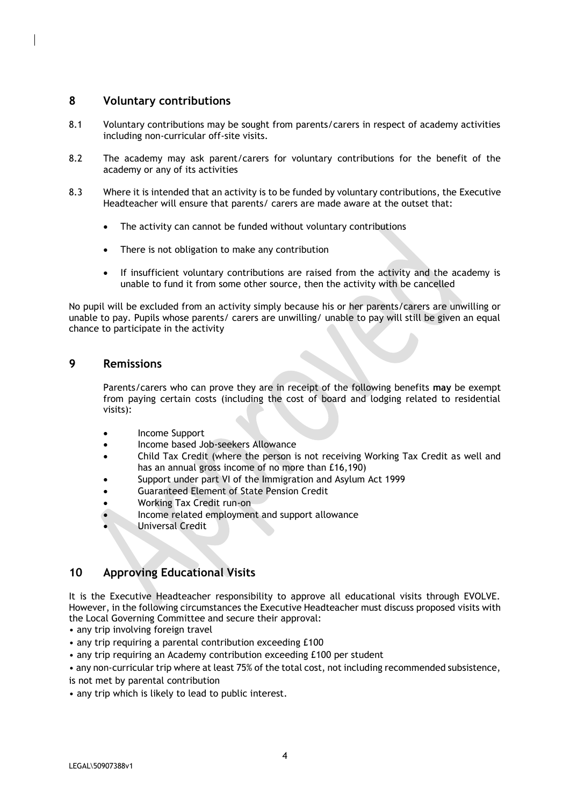#### **8 Voluntary contributions**

- 8.1 Voluntary contributions may be sought from parents/carers in respect of academy activities including non-curricular off-site visits.
- 8.2 The academy may ask parent/carers for voluntary contributions for the benefit of the academy or any of its activities
- 8.3 Where it is intended that an activity is to be funded by voluntary contributions, the Executive Headteacher will ensure that parents/ carers are made aware at the outset that:
	- The activity can cannot be funded without voluntary contributions
	- There is not obligation to make any contribution
	- If insufficient voluntary contributions are raised from the activity and the academy is unable to fund it from some other source, then the activity with be cancelled

No pupil will be excluded from an activity simply because his or her parents/carers are unwilling or unable to pay. Pupils whose parents/ carers are unwilling/ unable to pay will still be given an equal chance to participate in the activity

#### **9 Remissions**

Parents/carers who can prove they are in receipt of the following benefits **may** be exempt from paying certain costs (including the cost of board and lodging related to residential visits):

- Income Support
- Income based Job-seekers Allowance
- Child Tax Credit (where the person is not receiving Working Tax Credit as well and has an annual gross income of no more than £16,190)
- Support under part VI of the Immigration and Asylum Act 1999
- Guaranteed Element of State Pension Credit
- Working Tax Credit run-on
- Income related employment and support allowance
- Universal Credit

### **10 Approving Educational Visits**

It is the Executive Headteacher responsibility to approve all educational visits through EVOLVE. However, in the following circumstances the Executive Headteacher must discuss proposed visits with the Local Governing Committee and secure their approval:

- any trip involving foreign travel
- any trip requiring a parental contribution exceeding £100
- any trip requiring an Academy contribution exceeding £100 per student

• any non-curricular trip where at least 75% of the total cost, not including recommended subsistence, is not met by parental contribution

• any trip which is likely to lead to public interest.